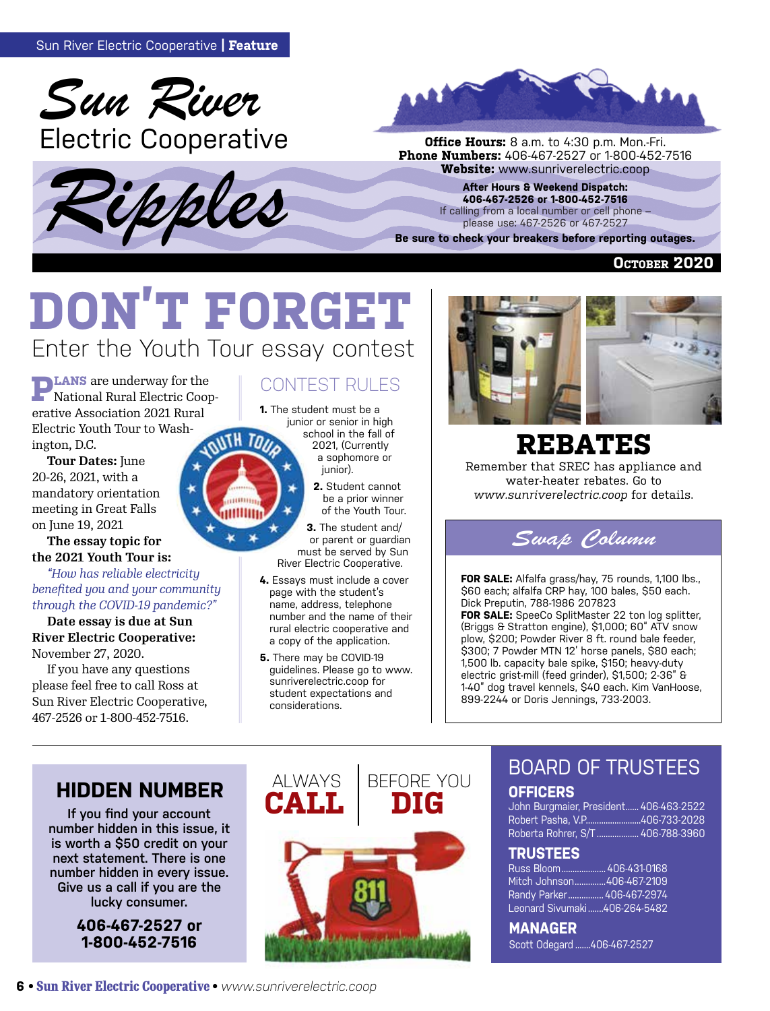





**Phone Numbers:** 406-467-2527 or 1-800-452-7516

**After Hours & Weekend Dispatch: 406-467-2526 or 1-800-452-7516** If calling from a local number or cell phone please use: 467-2526 or 467-2527

**Be sure to check your breakers before reporting outages.**

**October 2020**

# Enter the Youth Tour essay contest **DON'T FORGET**

**TO** 

**PLANS** are underway for the National Rural Electric Cooperative Association 2021 Rural Electric Youth Tour to Washington, D.C.

**Tour Dates:** June 20-26, 2021, with a mandatory orientation meeting in Great Falls on June 19, 2021

**The essay topic for the 2021 Youth Tour is:**

#### *"How has reliable electricity benefited you and your community through the COVID-19 pandemic?"*

**Date essay is due at Sun River Electric Cooperative:** November 27, 2020.

If you have any questions please feel free to call Ross at Sun River Electric Cooperative, 467-2526 or 1-800-452-7516.

#### CONTEST RULES

**1.** The student must be a junior or senior in high school in the fall of 2021, (Currently a sophomore or junior).

> **2.** Student cannot be a prior winner of the Youth Tour.

**3.** The student and/ or parent or guardian must be served by Sun River Electric Cooperative.

- **4.** Essays must include a cover page with the student's name, address, telephone number and the name of their rural electric cooperative and a copy of the application.
- **5.** There may be COVID-19 guidelines. Please go to www. sunriverelectric.coop for student expectations and considerations.



# **REBATES**

Remember that SREC has appliance and water-heater rebates. Go to *www.sunriverelectric.coop* for details.



**FOR SALE:** Alfalfa grass/hay, 75 rounds, 1,100 lbs., \$60 each; alfalfa CRP hay, 100 bales, \$50 each. Dick Preputin, 788-1986 207823 **FOR SALE:** SpeeCo SplitMaster 22 ton log splitter, (Briggs & Stratton engine), \$1,000; 60" ATV snow plow, \$200; Powder River 8 ft. round bale feeder, \$300; 7 Powder MTN 12' horse panels, \$80 each; 1,500 lb. capacity bale spike, \$150; heavy-duty electric grist-mill (feed grinder), \$1,500; 2-36" & 1-40" dog travel kennels, \$40 each. Kim VanHoose, 899-2244 or Doris Jennings, 733-2003.

### **HIDDEN NUMBER ALWAYS**

**If you find your account number hidden in this issue, it is worth a \$50 credit on your next statement. There is one number hidden in every issue. Give us a call if you are the lucky consumer.**

> **406-467-2527 or 1-800-452-7516**



### BOARD OF TRUSTEES

#### **OFFICERS**

John Burgmaier, President...... 406-463-2522 Robert Pasha, V.P.........................406-733-2028 Roberta Rohrer, S/T ................... 406-788-3960

#### **TRUSTEES**

Russ Bloom.................... 406-431-0168 Mitch Johnson..............406-467-2109 Randy Parker................ 406-467-2974 Leonard Sivumaki .......406-264-5482

**MANAGER**  Scott Odegard .......406-467-2527